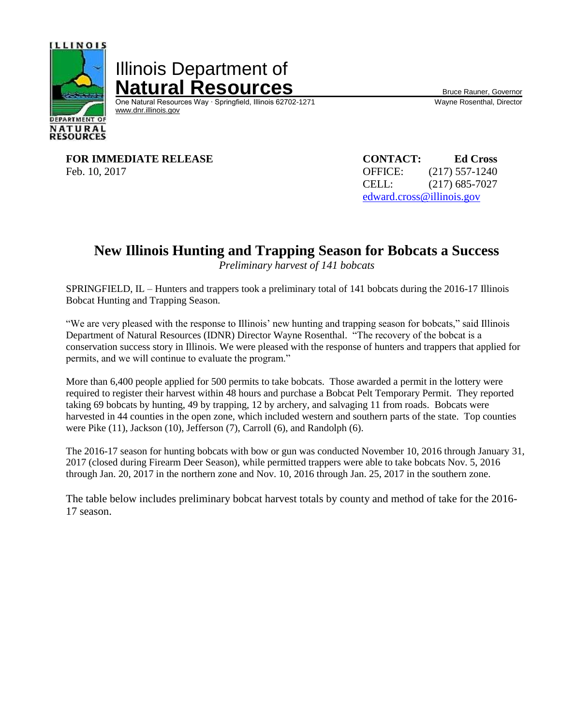

Illinois Department of **Natural Resources**<br>
One Natural Resources Way · Springfield, Illinois 62702-1271 Wayne Rosenthal, Director

One Natural Resources Way ⋅ Springfield, Illinois 62702-1271 [www.dnr.illinois.gov](http://www.dnr.illinois.gov/)

**FOR IMMEDIATE RELEASE CONTACT: Ed Cross** Feb. 10, 2017 **OFFICE:** (217) 557-1240

CELL: (217) 685-7027 [edward.cross@illinois.gov](mailto:edward.cross@illinois.gov)

## **New Illinois Hunting and Trapping Season for Bobcats a Success**

*Preliminary harvest of 141 bobcats*

SPRINGFIELD, IL – Hunters and trappers took a preliminary total of 141 bobcats during the 2016-17 Illinois Bobcat Hunting and Trapping Season.

"We are very pleased with the response to Illinois' new hunting and trapping season for bobcats," said Illinois Department of Natural Resources (IDNR) Director Wayne Rosenthal. "The recovery of the bobcat is a conservation success story in Illinois. We were pleased with the response of hunters and trappers that applied for permits, and we will continue to evaluate the program."

More than 6,400 people applied for 500 permits to take bobcats. Those awarded a permit in the lottery were required to register their harvest within 48 hours and purchase a Bobcat Pelt Temporary Permit. They reported taking 69 bobcats by hunting, 49 by trapping, 12 by archery, and salvaging 11 from roads. Bobcats were harvested in 44 counties in the open zone, which included western and southern parts of the state. Top counties were Pike (11), Jackson (10), Jefferson (7), Carroll (6), and Randolph (6).

The 2016-17 season for hunting bobcats with bow or gun was conducted November 10, 2016 through January 31, 2017 (closed during Firearm Deer Season), while permitted trappers were able to take bobcats Nov. 5, 2016 through Jan. 20, 2017 in the northern zone and Nov. 10, 2016 through Jan. 25, 2017 in the southern zone.

The table below includes preliminary bobcat harvest totals by county and method of take for the 2016- 17 season.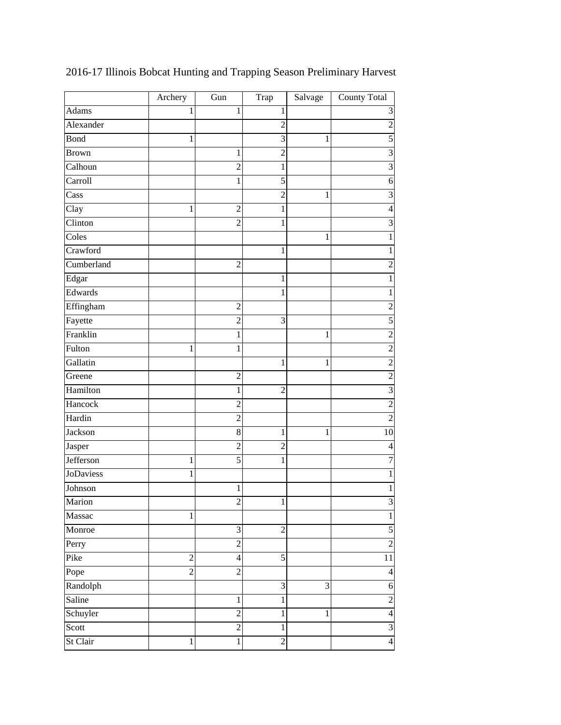|                  | Archery        | Gun                     | Trap             | Salvage        | County Total   |
|------------------|----------------|-------------------------|------------------|----------------|----------------|
| Adams            | 1              | 1                       | 1                |                | 3              |
| Alexander        |                |                         | $\overline{c}$   |                | $\overline{c}$ |
| Bond             | $\mathbf{1}$   |                         | $\overline{3}$   | $\mathbf{1}$   | $\overline{5}$ |
| <b>Brown</b>     |                | 1                       | $\overline{c}$   |                | 3              |
| Calhoun          |                | $\overline{2}$          | 1                |                | $\overline{3}$ |
| Carroll          |                | 1                       | 5                |                | 6              |
| Cass             |                |                         | $\overline{2}$   | 1              | $\overline{3}$ |
| Clay             | 1              | $\overline{c}$          | 1                |                | $\overline{4}$ |
| Clinton          |                | $\overline{2}$          | 1                |                | 3              |
| Coles            |                |                         |                  | 1              | $\mathbf 1$    |
| Crawford         |                |                         | 1                |                | $\mathbf{1}$   |
| Cumberland       |                | $\overline{2}$          |                  |                | $\overline{c}$ |
| Edgar            |                |                         | 1                |                | $\mathbf{1}$   |
| Edwards          |                |                         | 1                |                | $\mathbf{1}$   |
| Effingham        |                | $\overline{2}$          |                  |                | $\overline{c}$ |
| Fayette          |                | $\overline{2}$          | 3                |                | 5              |
| Franklin         |                | 1                       |                  | 1              | $\overline{c}$ |
| Fulton           | 1              | 1                       |                  |                | $\overline{c}$ |
| Gallatin         |                |                         | 1                | 1              | $\overline{c}$ |
| Greene           |                | $\overline{2}$          |                  |                | $\overline{c}$ |
| Hamilton         |                | 1                       | $\overline{2}$   |                | $\overline{3}$ |
| Hancock          |                | 2                       |                  |                | $\overline{c}$ |
| Hardin           |                | $\overline{c}$          |                  |                | $\overline{2}$ |
| Jackson          |                | 8                       | 1                | 1              | 10             |
| Jasper           |                | $\overline{2}$          | $\overline{2}$   |                | $\overline{4}$ |
| Jefferson        | 1              | 5                       | 1                |                | $\overline{7}$ |
| <b>JoDaviess</b> | 1              |                         |                  |                | $\mathbf{1}$   |
| Johnson          |                | 1                       |                  |                | $\mathbf 1$    |
| Marion           |                | $\overline{\mathbf{c}}$ | $\mathbf 1$      |                | 3              |
| Massac           | 1              |                         |                  |                | $\,1\,$        |
| Monroe           |                | $\mathfrak{Z}$          | $\overline{c}$   |                | 5              |
| Perry            |                | $\overline{2}$          |                  |                | $\overline{c}$ |
| Pike             | $\overline{2}$ | 4                       | 5                |                | 11             |
| Pope             | $\overline{c}$ | $\overline{c}$          |                  |                | $\overline{4}$ |
| Randolph         |                |                         | 3                | $\mathfrak{Z}$ | 6              |
| Saline           |                | $\mathbf{1}$            | 1                |                | $\overline{c}$ |
| Schuyler         |                | $\overline{2}$          | 1                | 1              | $\overline{4}$ |
| Scott            |                | $\overline{2}$          | $\mathbf{1}$     |                | $\overline{3}$ |
| St Clair         | 1              | $\mathbf{1}$            | $\boldsymbol{2}$ |                | $\overline{4}$ |

2016-17 Illinois Bobcat Hunting and Trapping Season Preliminary Harvest